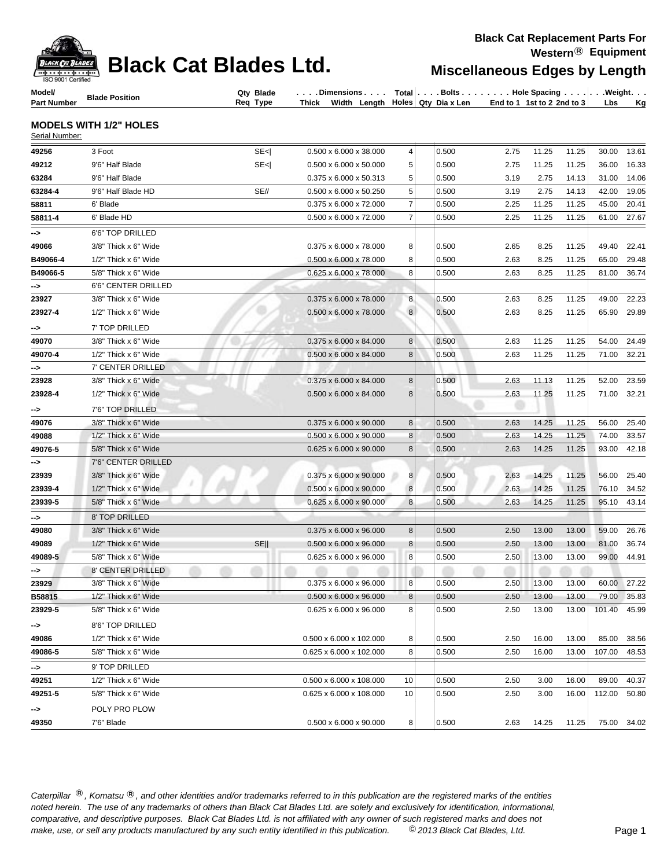| ISO 9001 Certified |  |  | <b><i>BLACK CHI BLACK Cat Blades Ltd.</i></b> |  |
|--------------------|--|--|-----------------------------------------------|--|
|--------------------|--|--|-----------------------------------------------|--|

## **Miscellaneous Edges by Length**

**Model/ Part Number Blade Qty Type Req Type All And Total Req Type All And Total Req Type Thick Width Length Holes Qty Dia x Len . . . . . . . . Bolts . . . . . . . . Hole Spacing . . . . . . Weight End to 1 1st to 2 2nd to 3 Thick Width Length Lbs Kg**

### **MODELS WITH 1/2" HOLES**

| Serial Number: |                                               |                                     |                |       |      |       |       |        |             |
|----------------|-----------------------------------------------|-------------------------------------|----------------|-------|------|-------|-------|--------|-------------|
| 49256          | 3 Foot<br>SE <sub>1</sub>                     | $0.500 \times 6.000 \times 38.000$  | 4              | 0.500 | 2.75 | 11.25 | 11.25 | 30.00  | 13.61       |
| 49212          | 9'6" Half Blade<br>SE <sub>1</sub>            | 0.500 x 6.000 x 50.000              | $\sqrt{5}$     | 0.500 | 2.75 | 11.25 | 11.25 | 36.00  | 16.33       |
| 63284          | 9'6" Half Blade                               | 0.375 x 6.000 x 50.313              | $\sqrt{5}$     | 0.500 | 3.19 | 2.75  | 14.13 | 31.00  | 14.06       |
| 63284-4        | SE//<br>9'6" Half Blade HD                    | $0.500 \times 6.000 \times 50.250$  | $\sqrt{5}$     | 0.500 | 3.19 | 2.75  | 14.13 | 42.00  | 19.05       |
| 58811          | 6' Blade                                      | 0.375 x 6.000 x 72.000              | $\overline{7}$ | 0.500 | 2.25 | 11.25 | 11.25 | 45.00  | 20.41       |
| 58811-4        | 6' Blade HD                                   | 0.500 x 6.000 x 72.000              | $\overline{7}$ | 0.500 | 2.25 | 11.25 | 11.25 | 61.00  | 27.67       |
| ->             | 6'6" TOP DRILLED                              |                                     |                |       |      |       |       |        |             |
| 49066          | 3/8" Thick x 6" Wide                          | $0.375 \times 6.000 \times 78.000$  | 8              | 0.500 | 2.65 | 8.25  | 11.25 | 49.40  | 22.41       |
| B49066-4       | 1/2" Thick x 6" Wide                          | $0.500 \times 6.000 \times 78.000$  | 8              | 0.500 | 2.63 | 8.25  | 11.25 | 65.00  | 29.48       |
| B49066-5       | 5/8" Thick x 6" Wide                          | $0.625 \times 6.000 \times 78.000$  | 8              | 0.500 | 2.63 | 8.25  | 11.25 | 81.00  | 36.74       |
| -->            | 6'6" CENTER DRILLED                           |                                     |                |       |      |       |       |        |             |
| 23927          | 3/8" Thick x 6" Wide                          | 0.375 x 6.000 x 78.000              | 8              | 0.500 | 2.63 | 8.25  | 11.25 | 49.00  | 22.23       |
| 23927-4        | $1/2$ " Thick $x$ 6" Wide                     | $0.500 \times 6.000 \times 78.000$  | 8              | 0.500 | 2.63 | 8.25  | 11.25 | 65.90  | 29.89       |
| ⊸>             | 7' TOP DRILLED                                |                                     |                |       |      |       |       |        |             |
| 49070          | 3/8" Thick x 6" Wide                          | $0.375 \times 6.000 \times 84.000$  | 8              | 0.500 | 2.63 | 11.25 | 11.25 | 54.00  | 24.49       |
| 49070-4        | $1/2$ " Thick x 6" Wide                       | $0.500 \times 6.000 \times 84.000$  | 8              | 0.500 | 2.63 | 11.25 | 11.25 | 71.00  | 32.21       |
| ⊸>             | 7' CENTER DRILLED                             |                                     |                |       |      |       |       |        |             |
| 23928          | 3/8" Thick x 6" Wide                          | 0.375 x 6.000 x 84.000              | 8              | 0.500 | 2.63 | 11.13 | 11.25 | 52.00  | 23.59       |
| 23928-4        | 1/2" Thick x 6" Wide                          | $0.500 \times 6.000 \times 84.000$  | 8              | 0.500 | 2.63 | 11.25 | 11.25 | 71.00  | 32.21       |
| -->            | 7'6" TOP DRILLED                              |                                     |                |       |      |       |       |        |             |
| 49076          | 3/8" Thick x 6" Wide                          | $0.375 \times 6.000 \times 90.000$  | 8              | 0.500 | 2.63 | 14.25 | 11.25 | 56.00  | 25.40       |
| 49088          | 1/2" Thick x 6" Wide                          | $0.500 \times 6.000 \times 90.000$  | 8              | 0.500 | 2.63 | 14.25 | 11.25 | 74.00  | 33.57       |
| 49076-5        | 5/8" Thick x 6" Wide                          | $0.625 \times 6.000 \times 90.000$  | 8              | 0.500 | 2.63 | 14.25 | 11.25 | 93.00  | 42.18       |
| ⊸>             | 7'6" CENTER DRILLED                           |                                     |                |       |      |       |       |        |             |
| 23939          | 3/8" Thick x 6" Wide                          | 0.375 x 6.000 x 90.000              | 8              | 0.500 | 2.63 | 14.25 | 11.25 | 56.00  | 25.40       |
| 23939-4        | 1/2" Thick x 6" Wide                          | $0.500 \times 6.000 \times 90.000$  | 8              | 0.500 | 2.63 | 14.25 | 11.25 | 76.10  | 34.52       |
| 23939-5        | 5/8" Thick x 6" Wide                          | $0.625 \times 6.000 \times 90.000$  | 8              | 0.500 | 2.63 | 14.25 | 11.25 | 95.10  | 43.14       |
| -->            | 8' TOP DRILLED                                |                                     |                |       |      |       |       |        |             |
| 49080          | $3/8$ " Thick x 6" Wide                       | $0.375 \times 6.000 \times 96.000$  | 8              | 0.500 | 2.50 | 13.00 | 13.00 | 59.00  | 26.76       |
| 49089          | SE <sub>II</sub><br>$1/2$ " Thick $x$ 6" Wide | 0.500 x 6.000 x 96.000              | 8              | 0.500 | 2.50 | 13.00 | 13.00 | 81.00  | 36.74       |
| 49089-5        | 5/8" Thick x 6" Wide                          | $0.625 \times 6.000 \times 96.000$  | 8              | 0.500 | 2.50 | 13.00 | 13.00 | 99.00  | 44.91       |
| ⊸>             | 8' CENTER DRILLED                             |                                     |                |       |      |       |       |        |             |
| 23929          | 3/8" Thick x 6" Wide                          | $0.375 \times 6.000 \times 96.000$  | 8              | 0.500 | 2.50 | 13.00 | 13.00 | 60.00  | 27.22       |
| B58815         | 1/2" Thick x 6" Wide                          | 0.500 x 6.000 x 96.000              | 8              | 0.500 | 2.50 | 13.00 | 13.00 | 79.00  | 35.83       |
| 23929-5        | 5/8" Thick x 6" Wide                          | $0.625 \times 6.000 \times 96.000$  | 8              | 0.500 | 2.50 | 13.00 | 13.00 | 101.40 | 45.99       |
| ⊸>             | 8'6" TOP DRILLED                              |                                     |                |       |      |       |       |        |             |
| 49086          | $1/2$ " Thick $x$ 6" Wide                     | $0.500 \times 6.000 \times 102.000$ | 8              | 0.500 | 2.50 | 16.00 | 13.00 | 85.00  | 38.56       |
| 49086-5        | 5/8" Thick x 6" Wide                          | 0.625 x 6.000 x 102.000             | 8              | 0.500 | 2.50 | 16.00 | 13.00 | 107.00 | 48.53       |
| ->             | 9' TOP DRILLED                                |                                     |                |       |      |       |       |        |             |
| 49251          | 1/2" Thick x 6" Wide                          | $0.500 \times 6.000 \times 108.000$ | 10             | 0.500 | 2.50 | 3.00  | 16.00 | 89.00  | 40.37       |
| 49251-5        | 5/8" Thick x 6" Wide                          | 0.625 x 6.000 x 108.000             | 10             | 0.500 | 2.50 | 3.00  | 16.00 | 112.00 | 50.80       |
| ⊸>             | POLY PRO PLOW                                 |                                     |                |       |      |       |       |        |             |
| 49350          | 7'6" Blade                                    | $0.500 \times 6.000 \times 90.000$  | 8              | 0.500 | 2.63 | 14.25 | 11.25 |        | 75.00 34.02 |

Caterpillar ®, Komatsu ®, and other identities and/or trademarks referred to in this publication are the registered marks of the entities *noted herein. The use of any trademarks of others than Black Cat Blades Ltd. are solely and exclusively for identification, informational, make, use, or sell any products manufactured by any such entity identified in this publication. comparative, and descriptive purposes. Black Cat Blades Ltd. is not affiliated with any owner of such registered marks and does not* ©*2013 Black Cat Blades, Ltd.* Page 1